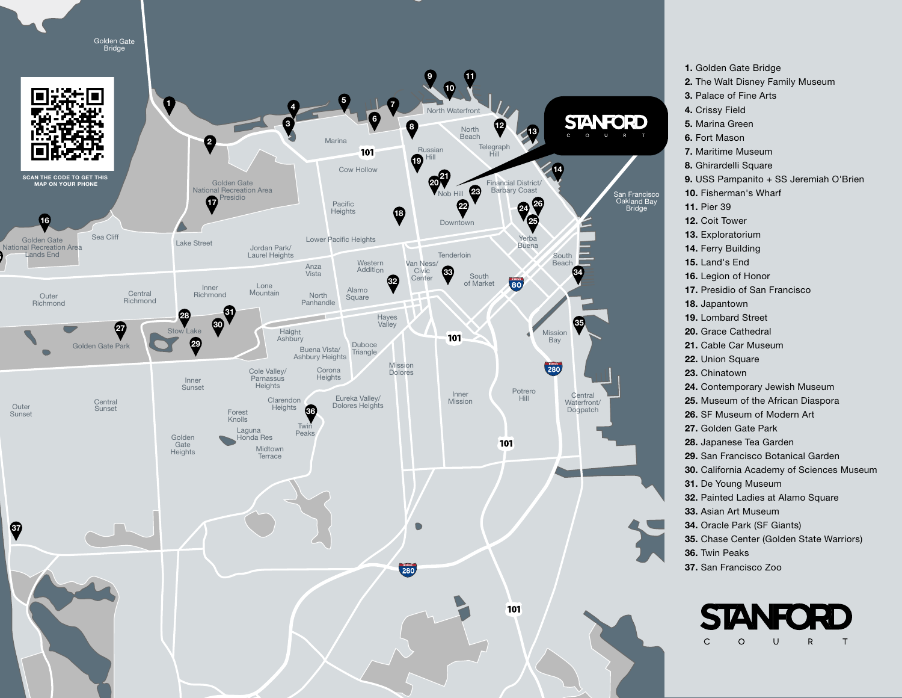

1. Golden Gate Bridge 2. The Walt Disney Family Museum 3. Palace of Fine Arts 4. Crissy Field 5. Marina Green 6. Fort Mason 7. Maritime Museum 8. Ghirardelli Square 9. USS Pampanito + SS Jeremiah O'Brien 10. Fisherman's Wharf 11. Pier 39 12. Coit Tower 13. Exploratorium 14. Ferry Building 15. Land's End 16. Legion of Honor 17. Presidio of San Francisco 18. Japantown 19. Lombard Street 20. Grace Cathedral 21. Cable Car Museum 22. Union Square 23. Chinatown 24. Contemporary Jewish Museum 25. Museum of the African Diaspora 26. SF Museum of Modern Art 27. Golden Gate Park 28. Japanese Tea Garden 29. San Francisco Botanical Garden 30. California Academy of Sciences Museum 31. De Young Museum 32. Painted Ladies at Alamo Square 33. Asian Art Museum 34. Oracle Park (SF Giants) 35. Chase Center (Golden State Warriors) 36. Twin Peaks 37. San Francisco Zoo